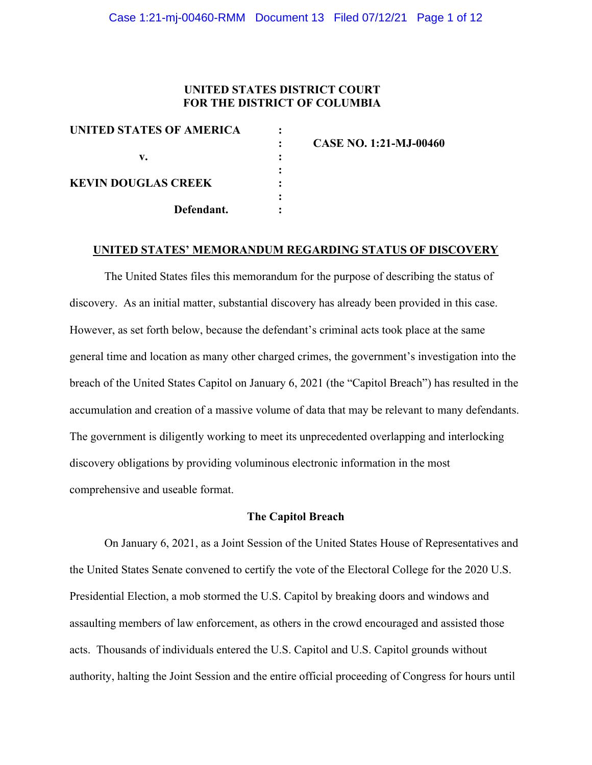# **UNITED STATES DISTRICT COURT FOR THE DISTRICT OF COLUMBIA**

| UNITED STATES OF AMERICA   |  |
|----------------------------|--|
|                            |  |
| v.                         |  |
|                            |  |
| <b>KEVIN DOUGLAS CREEK</b> |  |
|                            |  |
| Defendant.                 |  |
|                            |  |

**: CASE NO. 1:21-MJ-00460**

#### **UNITED STATES' MEMORANDUM REGARDING STATUS OF DISCOVERY**

The United States files this memorandum for the purpose of describing the status of discovery. As an initial matter, substantial discovery has already been provided in this case. However, as set forth below, because the defendant's criminal acts took place at the same general time and location as many other charged crimes, the government's investigation into the breach of the United States Capitol on January 6, 2021 (the "Capitol Breach") has resulted in the accumulation and creation of a massive volume of data that may be relevant to many defendants. The government is diligently working to meet its unprecedented overlapping and interlocking discovery obligations by providing voluminous electronic information in the most comprehensive and useable format.

#### **The Capitol Breach**

On January 6, 2021, as a Joint Session of the United States House of Representatives and the United States Senate convened to certify the vote of the Electoral College for the 2020 U.S. Presidential Election, a mob stormed the U.S. Capitol by breaking doors and windows and assaulting members of law enforcement, as others in the crowd encouraged and assisted those acts. Thousands of individuals entered the U.S. Capitol and U.S. Capitol grounds without authority, halting the Joint Session and the entire official proceeding of Congress for hours until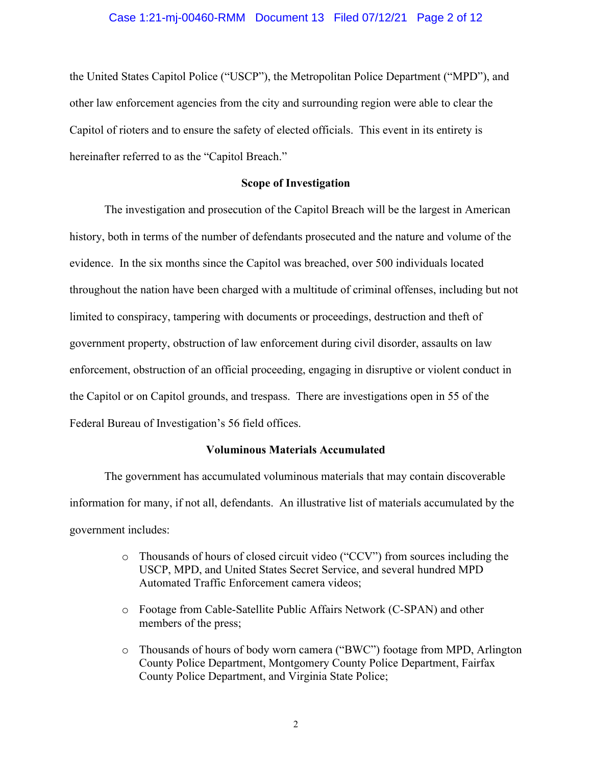### Case 1:21-mj-00460-RMM Document 13 Filed 07/12/21 Page 2 of 12

the United States Capitol Police ("USCP"), the Metropolitan Police Department ("MPD"), and other law enforcement agencies from the city and surrounding region were able to clear the Capitol of rioters and to ensure the safety of elected officials. This event in its entirety is hereinafter referred to as the "Capitol Breach."

## **Scope of Investigation**

The investigation and prosecution of the Capitol Breach will be the largest in American history, both in terms of the number of defendants prosecuted and the nature and volume of the evidence. In the six months since the Capitol was breached, over 500 individuals located throughout the nation have been charged with a multitude of criminal offenses, including but not limited to conspiracy, tampering with documents or proceedings, destruction and theft of government property, obstruction of law enforcement during civil disorder, assaults on law enforcement, obstruction of an official proceeding, engaging in disruptive or violent conduct in the Capitol or on Capitol grounds, and trespass. There are investigations open in 55 of the Federal Bureau of Investigation's 56 field offices.

#### **Voluminous Materials Accumulated**

The government has accumulated voluminous materials that may contain discoverable information for many, if not all, defendants. An illustrative list of materials accumulated by the government includes:

- o Thousands of hours of closed circuit video ("CCV") from sources including the USCP, MPD, and United States Secret Service, and several hundred MPD Automated Traffic Enforcement camera videos;
- o Footage from Cable-Satellite Public Affairs Network (C-SPAN) and other members of the press;
- o Thousands of hours of body worn camera ("BWC") footage from MPD, Arlington County Police Department, Montgomery County Police Department, Fairfax County Police Department, and Virginia State Police;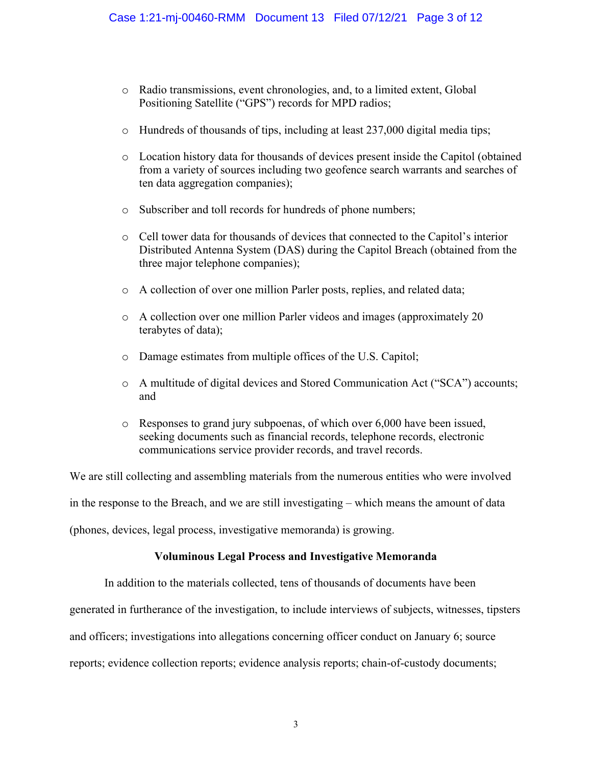- o Radio transmissions, event chronologies, and, to a limited extent, Global Positioning Satellite ("GPS") records for MPD radios;
- o Hundreds of thousands of tips, including at least 237,000 digital media tips;
- o Location history data for thousands of devices present inside the Capitol (obtained from a variety of sources including two geofence search warrants and searches of ten data aggregation companies);
- o Subscriber and toll records for hundreds of phone numbers;
- o Cell tower data for thousands of devices that connected to the Capitol's interior Distributed Antenna System (DAS) during the Capitol Breach (obtained from the three major telephone companies);
- o A collection of over one million Parler posts, replies, and related data;
- o A collection over one million Parler videos and images (approximately 20 terabytes of data);
- o Damage estimates from multiple offices of the U.S. Capitol;
- o A multitude of digital devices and Stored Communication Act ("SCA") accounts; and
- o Responses to grand jury subpoenas, of which over 6,000 have been issued, seeking documents such as financial records, telephone records, electronic communications service provider records, and travel records.

We are still collecting and assembling materials from the numerous entities who were involved in the response to the Breach, and we are still investigating – which means the amount of data (phones, devices, legal process, investigative memoranda) is growing.

# **Voluminous Legal Process and Investigative Memoranda**

In addition to the materials collected, tens of thousands of documents have been

generated in furtherance of the investigation, to include interviews of subjects, witnesses, tipsters

and officers; investigations into allegations concerning officer conduct on January 6; source

reports; evidence collection reports; evidence analysis reports; chain-of-custody documents;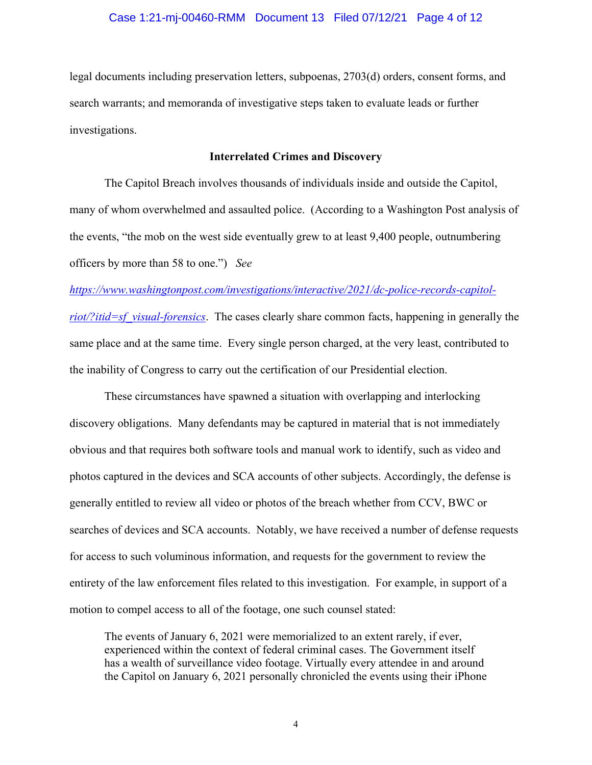legal documents including preservation letters, subpoenas, 2703(d) orders, consent forms, and search warrants; and memoranda of investigative steps taken to evaluate leads or further investigations.

## **Interrelated Crimes and Discovery**

The Capitol Breach involves thousands of individuals inside and outside the Capitol, many of whom overwhelmed and assaulted police. (According to a Washington Post analysis of the events, "the mob on the west side eventually grew to at least 9,400 people, outnumbering officers by more than 58 to one.") *See* 

*https://www.washingtonpost.com/investigations/interactive/2021/dc-police-records-capitolriot*/?*itid=sf\_visual-forensics*. The cases clearly share common facts, happening in generally the same place and at the same time. Every single person charged, at the very least, contributed to the inability of Congress to carry out the certification of our Presidential election.

These circumstances have spawned a situation with overlapping and interlocking discovery obligations. Many defendants may be captured in material that is not immediately obvious and that requires both software tools and manual work to identify, such as video and photos captured in the devices and SCA accounts of other subjects. Accordingly, the defense is generally entitled to review all video or photos of the breach whether from CCV, BWC or searches of devices and SCA accounts. Notably, we have received a number of defense requests for access to such voluminous information, and requests for the government to review the entirety of the law enforcement files related to this investigation. For example, in support of a motion to compel access to all of the footage, one such counsel stated:

The events of January 6, 2021 were memorialized to an extent rarely, if ever, experienced within the context of federal criminal cases. The Government itself has a wealth of surveillance video footage. Virtually every attendee in and around the Capitol on January 6, 2021 personally chronicled the events using their iPhone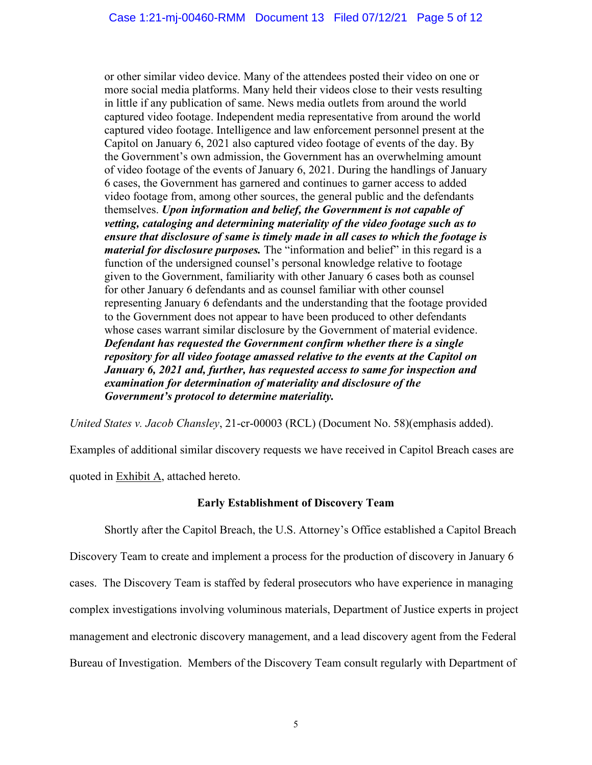or other similar video device. Many of the attendees posted their video on one or more social media platforms. Many held their videos close to their vests resulting in little if any publication of same. News media outlets from around the world captured video footage. Independent media representative from around the world captured video footage. Intelligence and law enforcement personnel present at the Capitol on January 6, 2021 also captured video footage of events of the day. By the Government's own admission, the Government has an overwhelming amount of video footage of the events of January 6, 2021. During the handlings of January 6 cases, the Government has garnered and continues to garner access to added video footage from, among other sources, the general public and the defendants themselves. *Upon information and belief, the Government is not capable of vetting, cataloging and determining materiality of the video footage such as to ensure that disclosure of same is timely made in all cases to which the footage is material for disclosure purposes.* The "information and belief" in this regard is a function of the undersigned counsel's personal knowledge relative to footage given to the Government, familiarity with other January 6 cases both as counsel for other January 6 defendants and as counsel familiar with other counsel representing January 6 defendants and the understanding that the footage provided to the Government does not appear to have been produced to other defendants whose cases warrant similar disclosure by the Government of material evidence. *Defendant has requested the Government confirm whether there is a single repository for all video footage amassed relative to the events at the Capitol on January 6, 2021 and, further, has requested access to same for inspection and examination for determination of materiality and disclosure of the Government's protocol to determine materiality.*

*United States v. Jacob Chansley*, 21-cr-00003 (RCL) (Document No. 58)(emphasis added).

Examples of additional similar discovery requests we have received in Capitol Breach cases are quoted in Exhibit A, attached hereto.

# **Early Establishment of Discovery Team**

Shortly after the Capitol Breach, the U.S. Attorney's Office established a Capitol Breach Discovery Team to create and implement a process for the production of discovery in January 6 cases. The Discovery Team is staffed by federal prosecutors who have experience in managing complex investigations involving voluminous materials, Department of Justice experts in project management and electronic discovery management, and a lead discovery agent from the Federal Bureau of Investigation. Members of the Discovery Team consult regularly with Department of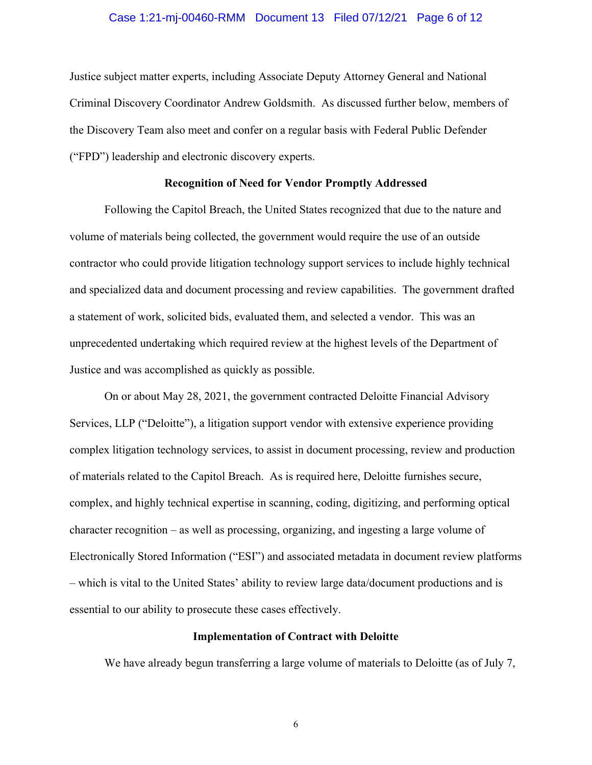### Case 1:21-mj-00460-RMM Document 13 Filed 07/12/21 Page 6 of 12

Justice subject matter experts, including Associate Deputy Attorney General and National Criminal Discovery Coordinator Andrew Goldsmith. As discussed further below, members of the Discovery Team also meet and confer on a regular basis with Federal Public Defender ("FPD") leadership and electronic discovery experts.

#### **Recognition of Need for Vendor Promptly Addressed**

Following the Capitol Breach, the United States recognized that due to the nature and volume of materials being collected, the government would require the use of an outside contractor who could provide litigation technology support services to include highly technical and specialized data and document processing and review capabilities. The government drafted a statement of work, solicited bids, evaluated them, and selected a vendor. This was an unprecedented undertaking which required review at the highest levels of the Department of Justice and was accomplished as quickly as possible.

On or about May 28, 2021, the government contracted Deloitte Financial Advisory Services, LLP ("Deloitte"), a litigation support vendor with extensive experience providing complex litigation technology services, to assist in document processing, review and production of materials related to the Capitol Breach. As is required here, Deloitte furnishes secure, complex, and highly technical expertise in scanning, coding, digitizing, and performing optical character recognition – as well as processing, organizing, and ingesting a large volume of Electronically Stored Information ("ESI") and associated metadata in document review platforms – which is vital to the United States' ability to review large data/document productions and is essential to our ability to prosecute these cases effectively.

## **Implementation of Contract with Deloitte**

We have already begun transferring a large volume of materials to Deloitte (as of July 7,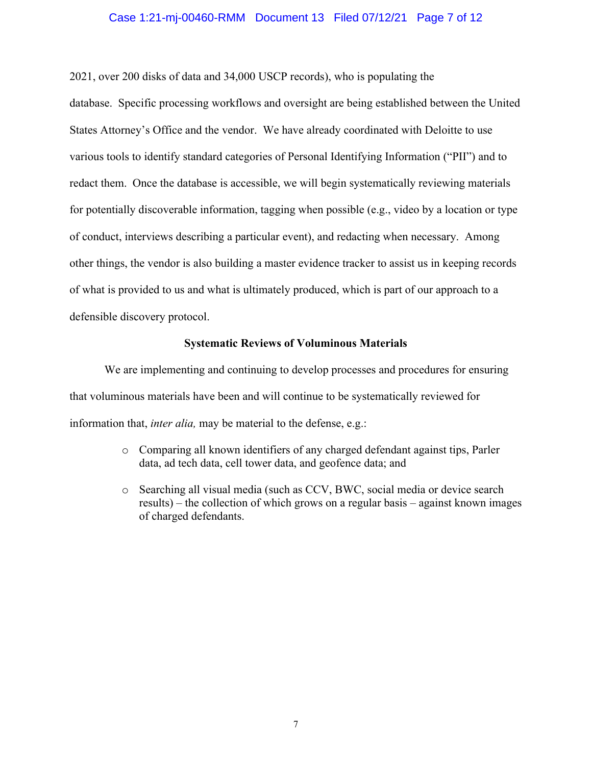#### Case 1:21-mj-00460-RMM Document 13 Filed 07/12/21 Page 7 of 12

2021, over 200 disks of data and 34,000 USCP records), who is populating the database. Specific processing workflows and oversight are being established between the United States Attorney's Office and the vendor. We have already coordinated with Deloitte to use various tools to identify standard categories of Personal Identifying Information ("PII") and to redact them. Once the database is accessible, we will begin systematically reviewing materials for potentially discoverable information, tagging when possible (e.g., video by a location or type of conduct, interviews describing a particular event), and redacting when necessary. Among other things, the vendor is also building a master evidence tracker to assist us in keeping records of what is provided to us and what is ultimately produced, which is part of our approach to a defensible discovery protocol.

#### **Systematic Reviews of Voluminous Materials**

We are implementing and continuing to develop processes and procedures for ensuring that voluminous materials have been and will continue to be systematically reviewed for information that, *inter alia,* may be material to the defense, e.g.:

- o Comparing all known identifiers of any charged defendant against tips, Parler data, ad tech data, cell tower data, and geofence data; and
- o Searching all visual media (such as CCV, BWC, social media or device search results) – the collection of which grows on a regular basis – against known images of charged defendants.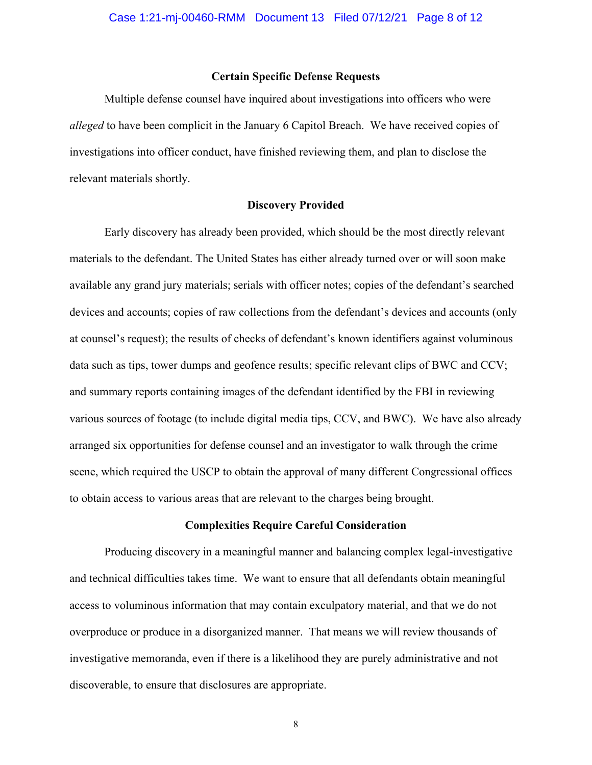### **Certain Specific Defense Requests**

Multiple defense counsel have inquired about investigations into officers who were *alleged* to have been complicit in the January 6 Capitol Breach. We have received copies of investigations into officer conduct, have finished reviewing them, and plan to disclose the relevant materials shortly.

#### **Discovery Provided**

Early discovery has already been provided, which should be the most directly relevant materials to the defendant. The United States has either already turned over or will soon make available any grand jury materials; serials with officer notes; copies of the defendant's searched devices and accounts; copies of raw collections from the defendant's devices and accounts (only at counsel's request); the results of checks of defendant's known identifiers against voluminous data such as tips, tower dumps and geofence results; specific relevant clips of BWC and CCV; and summary reports containing images of the defendant identified by the FBI in reviewing various sources of footage (to include digital media tips, CCV, and BWC). We have also already arranged six opportunities for defense counsel and an investigator to walk through the crime scene, which required the USCP to obtain the approval of many different Congressional offices to obtain access to various areas that are relevant to the charges being brought.

### **Complexities Require Careful Consideration**

Producing discovery in a meaningful manner and balancing complex legal-investigative and technical difficulties takes time. We want to ensure that all defendants obtain meaningful access to voluminous information that may contain exculpatory material, and that we do not overproduce or produce in a disorganized manner. That means we will review thousands of investigative memoranda, even if there is a likelihood they are purely administrative and not discoverable, to ensure that disclosures are appropriate.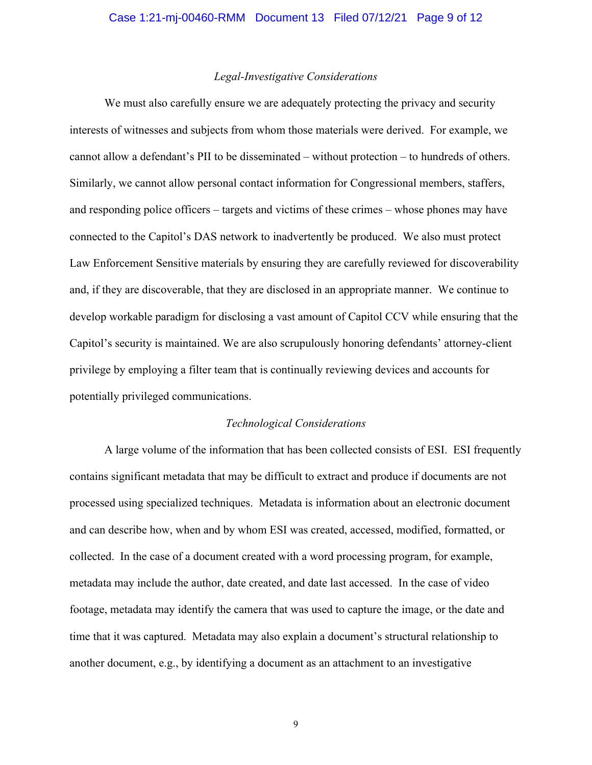#### *Legal-Investigative Considerations*

We must also carefully ensure we are adequately protecting the privacy and security interests of witnesses and subjects from whom those materials were derived. For example, we cannot allow a defendant's PII to be disseminated – without protection – to hundreds of others. Similarly, we cannot allow personal contact information for Congressional members, staffers, and responding police officers – targets and victims of these crimes – whose phones may have connected to the Capitol's DAS network to inadvertently be produced. We also must protect Law Enforcement Sensitive materials by ensuring they are carefully reviewed for discoverability and, if they are discoverable, that they are disclosed in an appropriate manner. We continue to develop workable paradigm for disclosing a vast amount of Capitol CCV while ensuring that the Capitol's security is maintained. We are also scrupulously honoring defendants' attorney-client privilege by employing a filter team that is continually reviewing devices and accounts for potentially privileged communications.

#### *Technological Considerations*

A large volume of the information that has been collected consists of ESI. ESI frequently contains significant metadata that may be difficult to extract and produce if documents are not processed using specialized techniques. Metadata is information about an electronic document and can describe how, when and by whom ESI was created, accessed, modified, formatted, or collected. In the case of a document created with a word processing program, for example, metadata may include the author, date created, and date last accessed. In the case of video footage, metadata may identify the camera that was used to capture the image, or the date and time that it was captured. Metadata may also explain a document's structural relationship to another document, e.g., by identifying a document as an attachment to an investigative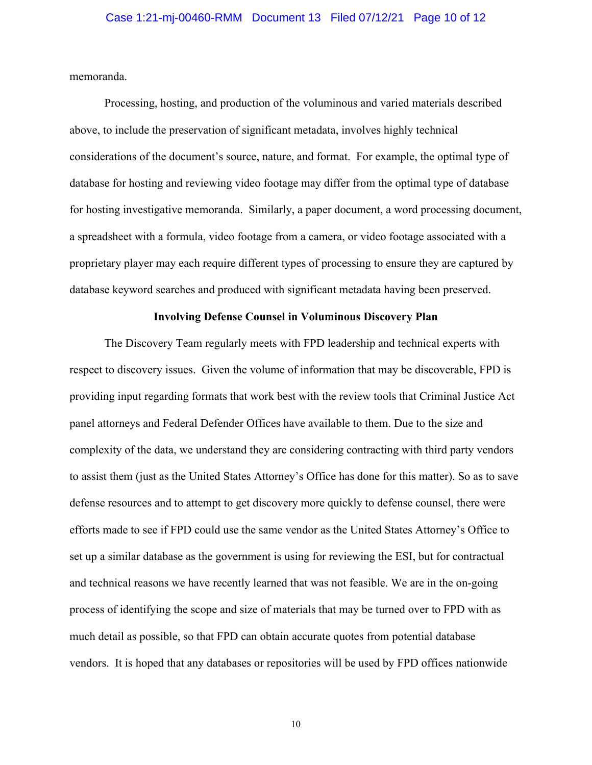memoranda.

Processing, hosting, and production of the voluminous and varied materials described above, to include the preservation of significant metadata, involves highly technical considerations of the document's source, nature, and format. For example, the optimal type of database for hosting and reviewing video footage may differ from the optimal type of database for hosting investigative memoranda. Similarly, a paper document, a word processing document, a spreadsheet with a formula, video footage from a camera, or video footage associated with a proprietary player may each require different types of processing to ensure they are captured by database keyword searches and produced with significant metadata having been preserved.

#### **Involving Defense Counsel in Voluminous Discovery Plan**

The Discovery Team regularly meets with FPD leadership and technical experts with respect to discovery issues. Given the volume of information that may be discoverable, FPD is providing input regarding formats that work best with the review tools that Criminal Justice Act panel attorneys and Federal Defender Offices have available to them. Due to the size and complexity of the data, we understand they are considering contracting with third party vendors to assist them (just as the United States Attorney's Office has done for this matter). So as to save defense resources and to attempt to get discovery more quickly to defense counsel, there were efforts made to see if FPD could use the same vendor as the United States Attorney's Office to set up a similar database as the government is using for reviewing the ESI, but for contractual and technical reasons we have recently learned that was not feasible. We are in the on-going process of identifying the scope and size of materials that may be turned over to FPD with as much detail as possible, so that FPD can obtain accurate quotes from potential database vendors. It is hoped that any databases or repositories will be used by FPD offices nationwide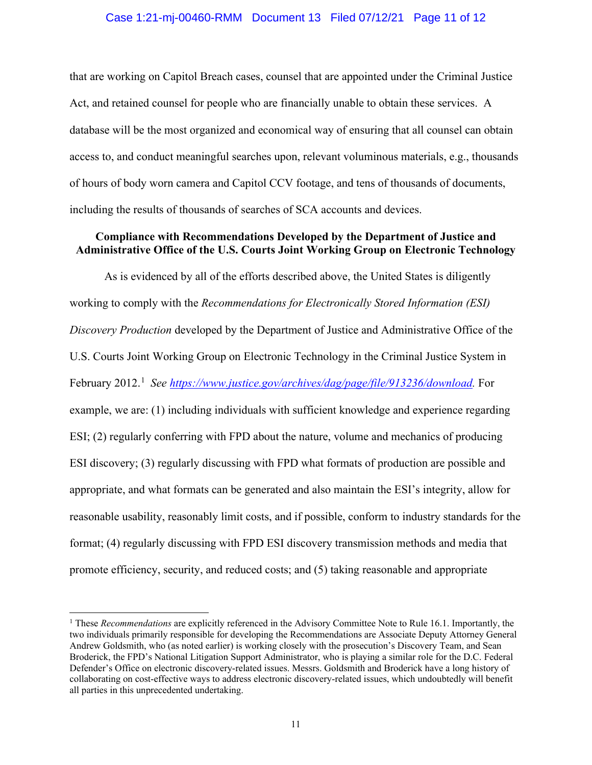### Case 1:21-mj-00460-RMM Document 13 Filed 07/12/21 Page 11 of 12

that are working on Capitol Breach cases, counsel that are appointed under the Criminal Justice Act, and retained counsel for people who are financially unable to obtain these services. A database will be the most organized and economical way of ensuring that all counsel can obtain access to, and conduct meaningful searches upon, relevant voluminous materials, e.g., thousands of hours of body worn camera and Capitol CCV footage, and tens of thousands of documents, including the results of thousands of searches of SCA accounts and devices.

## **Compliance with Recommendations Developed by the Department of Justice and Administrative Office of the U.S. Courts Joint Working Group on Electronic Technology**

As is evidenced by all of the efforts described above, the United States is diligently working to comply with the *Recommendations for Electronically Stored Information (ESI) Discovery Production* developed by the Department of Justice and Administrative Office of the U.S. Courts Joint Working Group on Electronic Technology in the Criminal Justice System in February 2012.<sup>1</sup> See https://www.justice.gov/archives/dag/page/file/913236/download. For example, we are: (1) including individuals with sufficient knowledge and experience regarding ESI; (2) regularly conferring with FPD about the nature, volume and mechanics of producing ESI discovery; (3) regularly discussing with FPD what formats of production are possible and appropriate, and what formats can be generated and also maintain the ESI's integrity, allow for reasonable usability, reasonably limit costs, and if possible, conform to industry standards for the format; (4) regularly discussing with FPD ESI discovery transmission methods and media that promote efficiency, security, and reduced costs; and (5) taking reasonable and appropriate

<sup>1</sup> These *Recommendations* are explicitly referenced in the Advisory Committee Note to Rule 16.1. Importantly, the two individuals primarily responsible for developing the Recommendations are Associate Deputy Attorney General Andrew Goldsmith, who (as noted earlier) is working closely with the prosecution's Discovery Team, and Sean Broderick, the FPD's National Litigation Support Administrator, who is playing a similar role for the D.C. Federal Defender's Office on electronic discovery-related issues. Messrs. Goldsmith and Broderick have a long history of collaborating on cost-effective ways to address electronic discovery-related issues, which undoubtedly will benefit all parties in this unprecedented undertaking.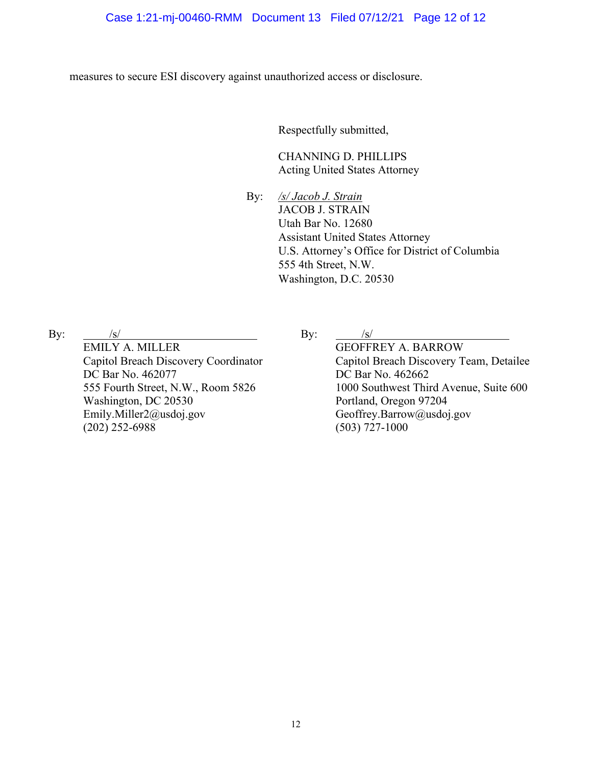measures to secure ESI discovery against unauthorized access or disclosure.

Respectfully submitted,

 CHANNING D. PHILLIPS Acting United States Attorney

By: */s/ Jacob J. Strain* JACOB J. STRAIN Utah Bar No. 12680 Assistant United States Attorney U.S. Attorney's Office for District of Columbia 555 4th Street, N.W. Washington, D.C. 20530

By:  $/s/$ EMILY A. MILLER Capitol Breach Discovery Coordinator DC Bar No. 462077 555 Fourth Street, N.W., Room 5826 Washington, DC 20530 Emily.Miller2@usdoj.gov (202) 252-6988

By:  $/s/$ 

GEOFFREY A. BARROW Capitol Breach Discovery Team, Detailee DC Bar No. 462662 1000 Southwest Third Avenue, Suite 600 Portland, Oregon 97204 Geoffrey.Barrow@usdoj.gov (503) 727-1000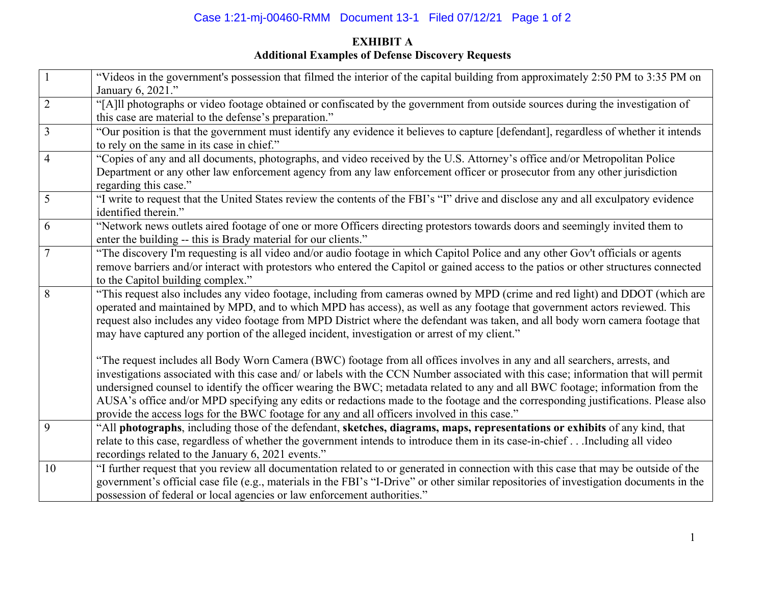# Case 1:21-mj-00460-RMM Document 13-1 Filed 07/12/21 Page 1 of 2

# **EXHIBIT A Additional Examples of Defense Discovery Requests**

| $\boxed{1}$     | "Videos in the government's possession that filmed the interior of the capital building from approximately 2:50 PM to 3:35 PM on<br>January 6, 2021."                                                                                                                                                                                                                                                                                                                                                                                                                                                                                   |
|-----------------|-----------------------------------------------------------------------------------------------------------------------------------------------------------------------------------------------------------------------------------------------------------------------------------------------------------------------------------------------------------------------------------------------------------------------------------------------------------------------------------------------------------------------------------------------------------------------------------------------------------------------------------------|
| $\overline{2}$  | "[A]ll photographs or video footage obtained or confiscated by the government from outside sources during the investigation of<br>this case are material to the defense's preparation."                                                                                                                                                                                                                                                                                                                                                                                                                                                 |
| $\overline{3}$  | "Our position is that the government must identify any evidence it believes to capture [defendant], regardless of whether it intends<br>to rely on the same in its case in chief."                                                                                                                                                                                                                                                                                                                                                                                                                                                      |
| $\overline{4}$  | "Copies of any and all documents, photographs, and video received by the U.S. Attorney's office and/or Metropolitan Police<br>Department or any other law enforcement agency from any law enforcement officer or prosecutor from any other jurisdiction<br>regarding this case."                                                                                                                                                                                                                                                                                                                                                        |
| $5\overline{)}$ | "I write to request that the United States review the contents of the FBI's "I" drive and disclose any and all exculpatory evidence<br>identified therein."                                                                                                                                                                                                                                                                                                                                                                                                                                                                             |
| 6               | "Network news outlets aired footage of one or more Officers directing protestors towards doors and seemingly invited them to<br>enter the building -- this is Brady material for our clients."                                                                                                                                                                                                                                                                                                                                                                                                                                          |
| $\overline{7}$  | "The discovery I'm requesting is all video and/or audio footage in which Capitol Police and any other Gov't officials or agents<br>remove barriers and/or interact with protestors who entered the Capitol or gained access to the patios or other structures connected<br>to the Capitol building complex."                                                                                                                                                                                                                                                                                                                            |
| 8               | "This request also includes any video footage, including from cameras owned by MPD (crime and red light) and DDOT (which are<br>operated and maintained by MPD, and to which MPD has access), as well as any footage that government actors reviewed. This<br>request also includes any video footage from MPD District where the defendant was taken, and all body worn camera footage that<br>may have captured any portion of the alleged incident, investigation or arrest of my client."                                                                                                                                           |
|                 | "The request includes all Body Worn Camera (BWC) footage from all offices involves in any and all searchers, arrests, and<br>investigations associated with this case and/ or labels with the CCN Number associated with this case; information that will permit<br>undersigned counsel to identify the officer wearing the BWC; metadata related to any and all BWC footage; information from the<br>AUSA's office and/or MPD specifying any edits or redactions made to the footage and the corresponding justifications. Please also<br>provide the access logs for the BWC footage for any and all officers involved in this case." |
| 9               | "All photographs, including those of the defendant, sketches, diagrams, maps, representations or exhibits of any kind, that<br>relate to this case, regardless of whether the government intends to introduce them in its case-in-chiefIncluding all video<br>recordings related to the January 6, 2021 events."                                                                                                                                                                                                                                                                                                                        |
| 10              | "I further request that you review all documentation related to or generated in connection with this case that may be outside of the<br>government's official case file (e.g., materials in the FBI's "I-Drive" or other similar repositories of investigation documents in the<br>possession of federal or local agencies or law enforcement authorities."                                                                                                                                                                                                                                                                             |